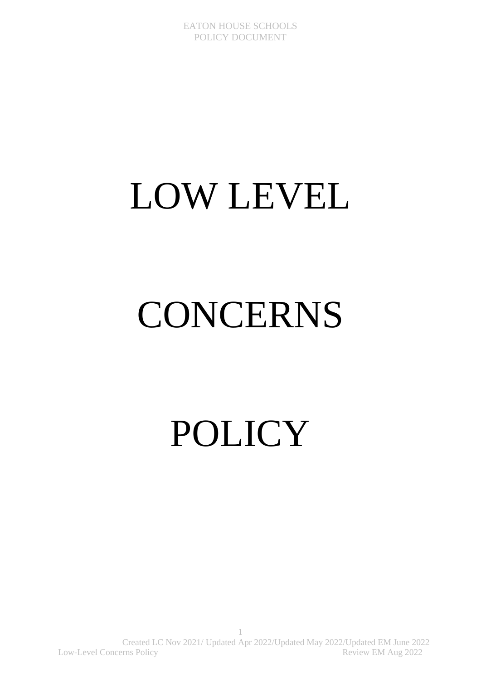# LOW LEVEL

# CONCERNS

POLICY

1 Created LC Nov 2021/ Updated Apr 2022/Updated May 2022/Updated EM June 2022 Low-Level Concerns Policy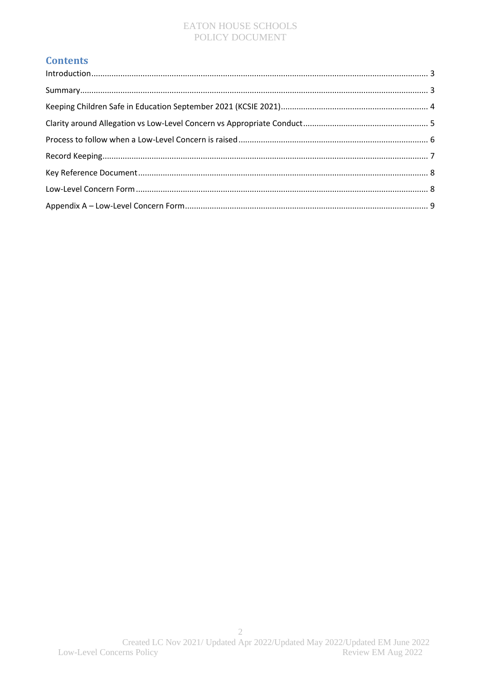# **Contents**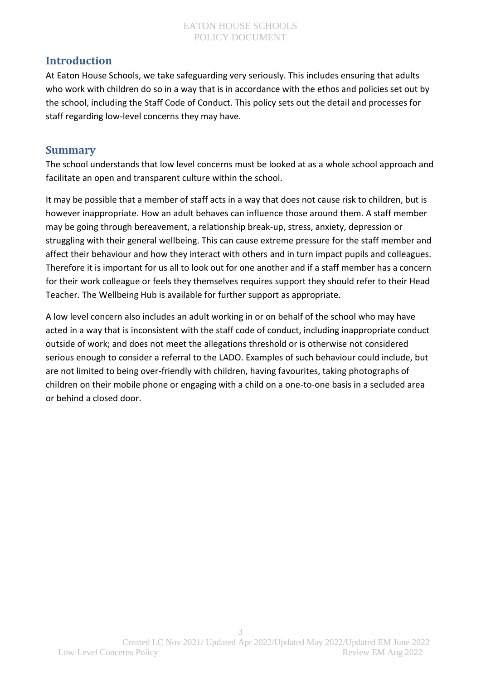# <span id="page-2-0"></span>**Introduction**

At Eaton House Schools, we take safeguarding very seriously. This includes ensuring that adults who work with children do so in a way that is in accordance with the ethos and policies set out by the school, including the Staff Code of Conduct. This policy sets out the detail and processes for staff regarding low-level concerns they may have.

# <span id="page-2-1"></span>**Summary**

The school understands that low level concerns must be looked at as a whole school approach and facilitate an open and transparent culture within the school.

It may be possible that a member of staff acts in a way that does not cause risk to children, but is however inappropriate. How an adult behaves can influence those around them. A staff member may be going through bereavement, a relationship break-up, stress, anxiety, depression or struggling with their general wellbeing. This can cause extreme pressure for the staff member and affect their behaviour and how they interact with others and in turn impact pupils and colleagues. Therefore it is important for us all to look out for one another and if a staff member has a concern for their work colleague or feels they themselves requires support they should refer to their Head Teacher. The Wellbeing Hub is available for further support as appropriate.

A low level concern also includes an adult working in or on behalf of the school who may have acted in a way that is inconsistent with the staff code of conduct, including inappropriate conduct outside of work; and does not meet the allegations threshold or is otherwise not considered serious enough to consider a referral to the LADO. Examples of such behaviour could include, but are not limited to being over-friendly with children, having favourites, taking photographs of children on their mobile phone or engaging with a child on a one-to-one basis in a secluded area or behind a closed door.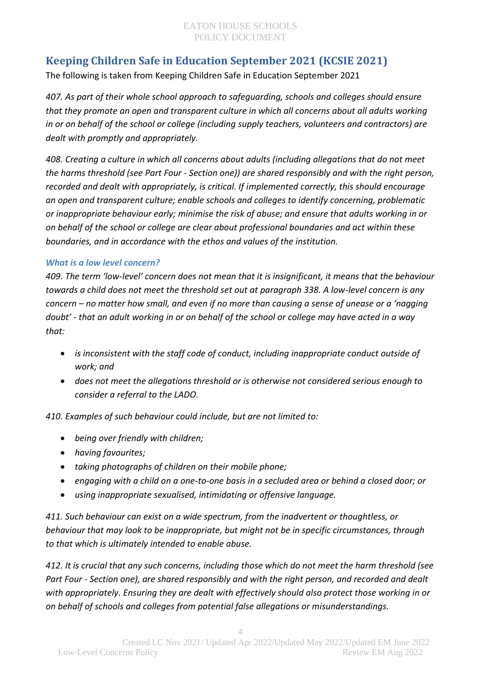# <span id="page-3-0"></span>**Keeping Children Safe in Education September 2021 (KCSIE 2021)**

The following is taken from Keeping Children Safe in Education September 2021

*407. As part of their whole school approach to safeguarding, schools and colleges should ensure that they promote an open and transparent culture in which all concerns about all adults working in or on behalf of the school or college (including supply teachers, volunteers and contractors) are dealt with promptly and appropriately.* 

*408. Creating a culture in which all concerns about adults (including allegations that do not meet the harms threshold (see Part Four - Section one)) are shared responsibly and with the right person, recorded and dealt with appropriately, is critical. If implemented correctly, this should encourage an open and transparent culture; enable schools and colleges to identify concerning, problematic or inappropriate behaviour early; minimise the risk of abuse; and ensure that adults working in or on behalf of the school or college are clear about professional boundaries and act within these boundaries, and in accordance with the ethos and values of the institution.* 

## *What is a low level concern?*

*409. The term 'low-level' concern does not mean that it is insignificant, it means that the behaviour towards a child does not meet the threshold set out at paragraph 338. A low-level concern is any concern – no matter how small, and even if no more than causing a sense of unease or a 'nagging doubt' - that an adult working in or on behalf of the school or college may have acted in a way that:*

- *is inconsistent with the staff code of conduct, including inappropriate conduct outside of work; and*
- *does not meet the allegations threshold or is otherwise not considered serious enough to consider a referral to the LADO.*

*410. Examples of such behaviour could include, but are not limited to:*

- *being over friendly with children;*
- *having favourites;*
- *taking photographs of children on their mobile phone;*
- *engaging with a child on a one-to-one basis in a secluded area or behind a closed door; or*
- *using inappropriate sexualised, intimidating or offensive language.*

*411. Such behaviour can exist on a wide spectrum, from the inadvertent or thoughtless, or behaviour that may look to be inappropriate, but might not be in specific circumstances, through to that which is ultimately intended to enable abuse.* 

*412. It is crucial that any such concerns, including those which do not meet the harm threshold (see Part Four - Section one), are shared responsibly and with the right person, and recorded and dealt with appropriately. Ensuring they are dealt with effectively should also protect those working in or on behalf of schools and colleges from potential false allegations or misunderstandings.*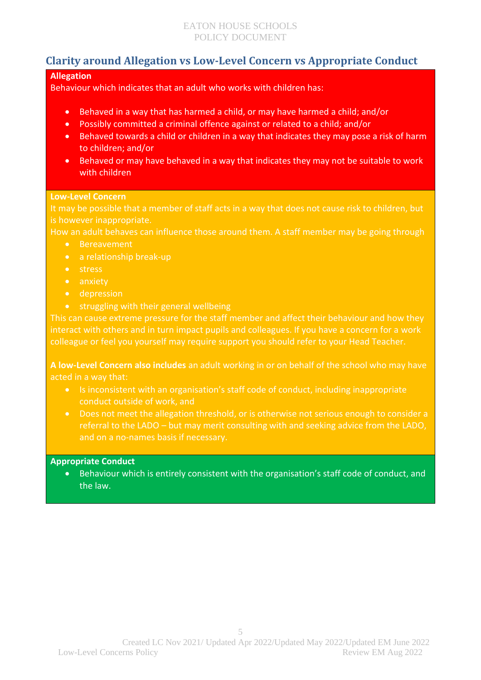# <span id="page-4-0"></span>**Clarity around Allegation vs Low-Level Concern vs Appropriate Conduct**

## **Allegation**

Behaviour which indicates that an adult who works with children has:

- Behaved in a way that has harmed a child, or may have harmed a child; and/or
- Possibly committed a criminal offence against or related to a child; and/or
- Behaved towards a child or children in a way that indicates they may pose a risk of harm to children; and/or
- Behaved or may have behaved in a way that indicates they may not be suitable to work with children

#### **Low-Level Concern**

It may be possible that a member of staff acts in a way that does not cause risk to children, but is however inappropriate.

How an adult behaves can influence those around them. A staff member may be going through

- **•** Bereavement
- a relationship break-up
- stress
- anxiety
- **•** depression
- $\bullet$  struggling with their general wellbeing

This can cause extreme pressure for the staff member and affect their behaviour and how they interact with others and in turn impact pupils and colleagues. If you have a concern for a work colleague or feel you yourself may require support you should refer to your Head Teacher.

**A low-Level Concern also includes** an adult working in or on behalf of the school who may have acted in a way that:

- Is inconsistent with an organisation's staff code of conduct, including inappropriate conduct outside of work, and
- Does not meet the allegation threshold, or is otherwise not serious enough to consider a referral to the LADO – but may merit consulting with and seeking advice from the LADO,

#### **Appropriate Conduct**

 Behaviour which is entirely consistent with the organisation's staff code of conduct, and the law.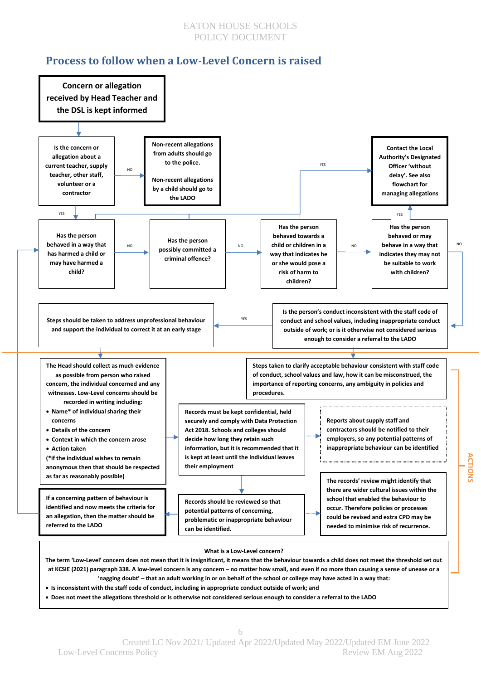# <span id="page-5-0"></span>**Process to follow when a Low-Level Concern is raised**



**The term 'Low-Level' concern does not mean that it is insignificant, it means that the behaviour towards a child does not meet the threshold set out at KCSIE (2021) paragraph 338. A low-level concern is any concern – no matter how small, and even if no more than causing a sense of unease or a 'nagging doubt' – that an adult working in or on behalf of the school or college may have acted in a way that:**

- **Is inconsistent with the staff code of conduct, including in appropriate conduct outside of work; and**
- **Does not meet the allegations threshold or is otherwise not considered serious enough to consider a referral to the LADO**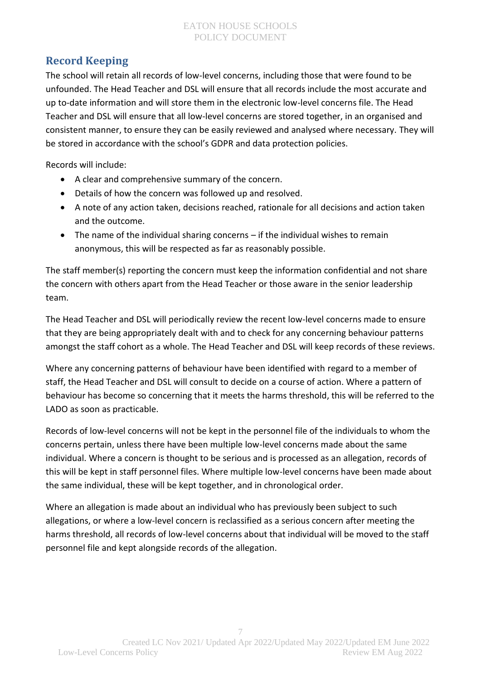# <span id="page-6-0"></span>**Record Keeping**

The school will retain all records of low-level concerns, including those that were found to be unfounded. The Head Teacher and DSL will ensure that all records include the most accurate and up to-date information and will store them in the electronic low-level concerns file. The Head Teacher and DSL will ensure that all low-level concerns are stored together, in an organised and consistent manner, to ensure they can be easily reviewed and analysed where necessary. They will be stored in accordance with the school's GDPR and data protection policies.

Records will include:

- A clear and comprehensive summary of the concern.
- Details of how the concern was followed up and resolved.
- A note of any action taken, decisions reached, rationale for all decisions and action taken and the outcome.
- The name of the individual sharing concerns if the individual wishes to remain anonymous, this will be respected as far as reasonably possible.

The staff member(s) reporting the concern must keep the information confidential and not share the concern with others apart from the Head Teacher or those aware in the senior leadership team.

The Head Teacher and DSL will periodically review the recent low-level concerns made to ensure that they are being appropriately dealt with and to check for any concerning behaviour patterns amongst the staff cohort as a whole. The Head Teacher and DSL will keep records of these reviews.

Where any concerning patterns of behaviour have been identified with regard to a member of staff, the Head Teacher and DSL will consult to decide on a course of action. Where a pattern of behaviour has become so concerning that it meets the harms threshold, this will be referred to the LADO as soon as practicable.

Records of low-level concerns will not be kept in the personnel file of the individuals to whom the concerns pertain, unless there have been multiple low-level concerns made about the same individual. Where a concern is thought to be serious and is processed as an allegation, records of this will be kept in staff personnel files. Where multiple low-level concerns have been made about the same individual, these will be kept together, and in chronological order.

Where an allegation is made about an individual who has previously been subject to such allegations, or where a low-level concern is reclassified as a serious concern after meeting the harms threshold, all records of low-level concerns about that individual will be moved to the staff personnel file and kept alongside records of the allegation.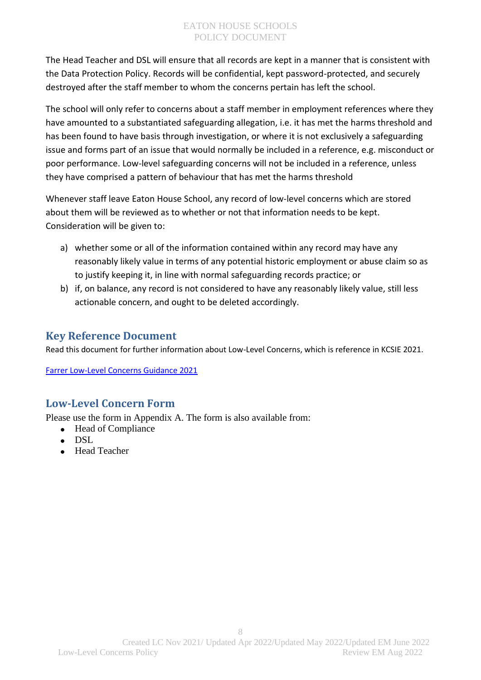The Head Teacher and DSL will ensure that all records are kept in a manner that is consistent with the Data Protection Policy. Records will be confidential, kept password-protected, and securely destroyed after the staff member to whom the concerns pertain has left the school.

The school will only refer to concerns about a staff member in employment references where they have amounted to a substantiated safeguarding allegation, i.e. it has met the harms threshold and has been found to have basis through investigation, or where it is not exclusively a safeguarding issue and forms part of an issue that would normally be included in a reference, e.g. misconduct or poor performance. Low-level safeguarding concerns will not be included in a reference, unless they have comprised a pattern of behaviour that has met the harms threshold

Whenever staff leave Eaton House School, any record of low-level concerns which are stored about them will be reviewed as to whether or not that information needs to be kept. Consideration will be given to:

- a) whether some or all of the information contained within any record may have any reasonably likely value in terms of any potential historic employment or abuse claim so as to justify keeping it, in line with normal safeguarding records practice; or
- b) if, on balance, any record is not considered to have any reasonably likely value, still less actionable concern, and ought to be deleted accordingly.

# <span id="page-7-0"></span>**Key Reference Document**

Read this document for further information about Low-Level Concerns, which is reference in KCSIE 2021.

[Farrer Low-Level Concerns Guidance 2021](https://www.farrer.co.uk/globalassets/clients-and-sectors/safeguarding/low-level-concerns-guidance-2021.pdf)

# <span id="page-7-1"></span>**Low-Level Concern Form**

Please use the form in Appendix A. The form is also available from:

- Head of Compliance
- DSL
- Head Teacher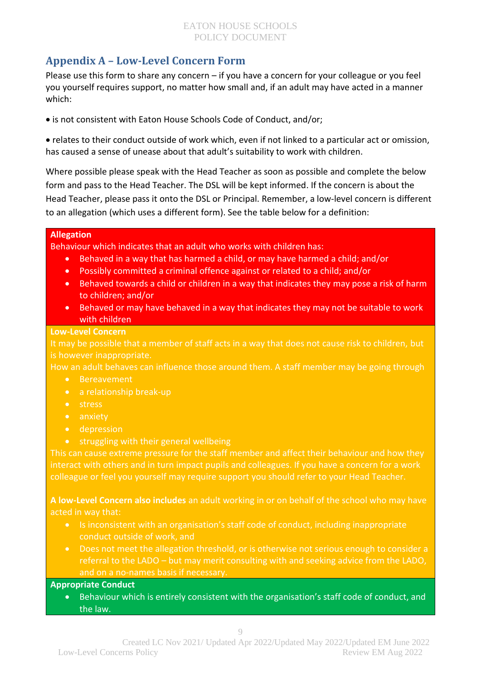# <span id="page-8-0"></span>**Appendix A – Low-Level Concern Form**

Please use this form to share any concern – if you have a concern for your colleague or you feel you yourself requires support, no matter how small and, if an adult may have acted in a manner which:

is not consistent with Eaton House Schools Code of Conduct, and/or;

 relates to their conduct outside of work which, even if not linked to a particular act or omission, has caused a sense of unease about that adult's suitability to work with children.

Where possible please speak with the Head Teacher as soon as possible and complete the below form and pass to the Head Teacher. The DSL will be kept informed. If the concern is about the Head Teacher, please pass it onto the DSL or Principal. Remember, a low-level concern is different to an allegation (which uses a different form). See the table below for a definition:

#### **Allegation**

Behaviour which indicates that an adult who works with children has:

- Behaved in a way that has harmed a child, or may have harmed a child; and/or
- Possibly committed a criminal offence against or related to a child; and/or
- Behaved towards a child or children in a way that indicates they may pose a risk of harm to children; and/or
- Behaved or may have behaved in a way that indicates they may not be suitable to work with children

#### **Low-Level Concern**

It may be possible that a member of staff acts in a way that does not cause risk to children, but is however inappropriate.

How an adult behaves can influence those around them. A staff member may be going through

- **•** Bereavement
- a relationship break-up
- stress
- anxiety
- **•** depression
- struggling with their general wellbeing

This can cause extreme pressure for the staff member and affect their behaviour and how they interact with others and in turn impact pupils and colleagues. If you have a concern for a work colleague or feel you yourself may require support you should refer to your Head Teacher.

**A low-Level Concern also includes** an adult working in or on behalf of the school who may have acted in way that:

- Is inconsistent with an organisation's staff code of conduct, including inappropriate conduct outside of work, and
- Does not meet the allegation threshold, or is otherwise not serious enough to consider a referral to the LADO – but may merit consulting with and seeking advice from the LADO, and on a no-names basis if necessary.

## **Appropriate Conduct**

 Behaviour which is entirely consistent with the organisation's staff code of conduct, and the law.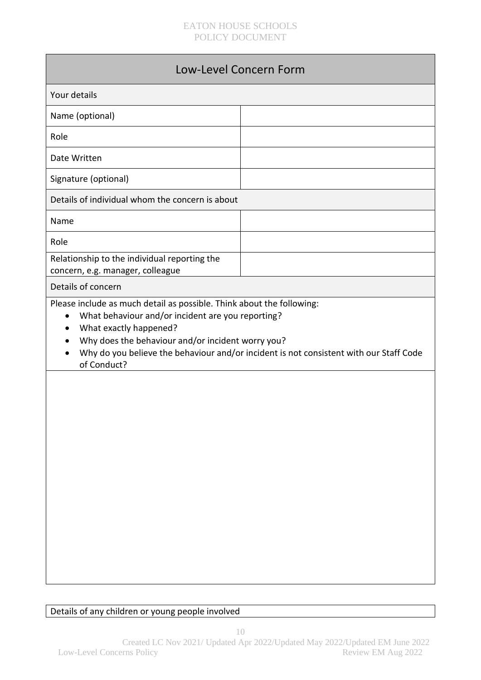| Low-Level Concern Form                                                                                                                                                                                                                             |                                                                                        |  |
|----------------------------------------------------------------------------------------------------------------------------------------------------------------------------------------------------------------------------------------------------|----------------------------------------------------------------------------------------|--|
| Your details                                                                                                                                                                                                                                       |                                                                                        |  |
| Name (optional)                                                                                                                                                                                                                                    |                                                                                        |  |
| Role                                                                                                                                                                                                                                               |                                                                                        |  |
| Date Written                                                                                                                                                                                                                                       |                                                                                        |  |
| Signature (optional)                                                                                                                                                                                                                               |                                                                                        |  |
| Details of individual whom the concern is about                                                                                                                                                                                                    |                                                                                        |  |
| Name                                                                                                                                                                                                                                               |                                                                                        |  |
| Role                                                                                                                                                                                                                                               |                                                                                        |  |
| Relationship to the individual reporting the<br>concern, e.g. manager, colleague                                                                                                                                                                   |                                                                                        |  |
| Details of concern                                                                                                                                                                                                                                 |                                                                                        |  |
| Please include as much detail as possible. Think about the following:<br>What behaviour and/or incident are you reporting?<br>$\bullet$<br>What exactly happened?<br>$\bullet$<br>Why does the behaviour and/or incident worry you?<br>of Conduct? | Why do you believe the behaviour and/or incident is not consistent with our Staff Code |  |

Details of any children or young people involved